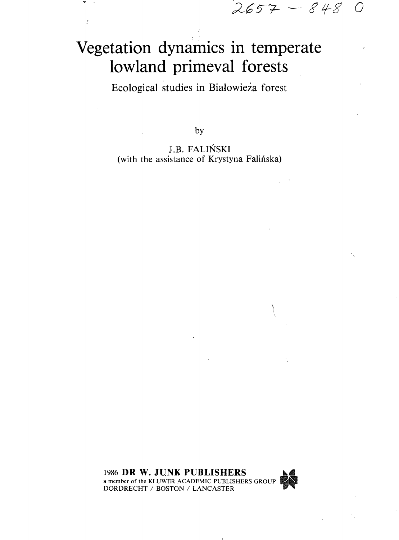$2657 - 8480$ 

## Vegetation dynamics in temperate lowland primeval forests

 $\overline{\boldsymbol{j}}$ 

Ecological studies in Bialowieza forest

by

J.B. FALINSKI (with the assistance of Krystyna Falińska)

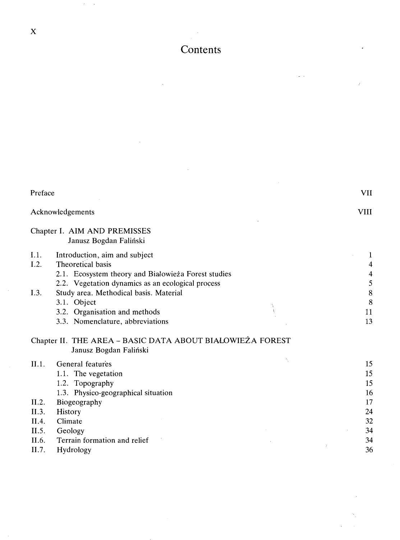$\mathcal{L}_{\mathcal{A}}$ 

 $\mathcal{O}(\mathcal{E}) \to \mathcal{E}$ 

## Contents

 $\frac{1}{2} \frac{1}{2} \frac{1}{2} \frac{1}{2} \frac{1}{2} \frac{1}{2} \frac{1}{2} \frac{1}{2} \frac{1}{2} \frac{1}{2} \frac{1}{2} \frac{1}{2} \frac{1}{2} \frac{1}{2} \frac{1}{2} \frac{1}{2} \frac{1}{2} \frac{1}{2} \frac{1}{2} \frac{1}{2} \frac{1}{2} \frac{1}{2} \frac{1}{2} \frac{1}{2} \frac{1}{2} \frac{1}{2} \frac{1}{2} \frac{1}{2} \frac{1}{2} \frac{1}{2} \frac{1}{2} \frac{$ 

| Preface                                                     |                                                                                                                                                                                                      | VII                                                      |
|-------------------------------------------------------------|------------------------------------------------------------------------------------------------------------------------------------------------------------------------------------------------------|----------------------------------------------------------|
| Acknowledgements                                            |                                                                                                                                                                                                      |                                                          |
|                                                             | Chapter I. AIM AND PREMISSES<br>Janusz Bogdan Faliński                                                                                                                                               |                                                          |
| I.1.<br>I.2.                                                | Introduction, aim and subject<br>Theoretical basis<br>2.1. Ecosystem theory and Białowieża Forest studies<br>2.2. Vegetation dynamics as an ecological process                                       | 1<br>4<br>4<br>5                                         |
| I.3.                                                        | Study area. Methodical basis. Material<br>3.1. Object<br>3.2. Organisation and methods<br>3.3. Nomenclature, abbreviations                                                                           | 8<br>8<br>11<br>13                                       |
|                                                             | Chapter II. THE AREA - BASIC DATA ABOUT BIALOWIEŻA FOREST<br>Janusz Bogdan Faliński                                                                                                                  |                                                          |
| II.1.<br>II.2.<br>II.3.<br>II.4.<br>II.5.<br>II.6.<br>II.7. | N<br>General features<br>1.1. The vegetation<br>1.2. Topography<br>1.3. Physico-geographical situation<br>Biogeography<br>History<br>Climate<br>Geology<br>Terrain formation and relief<br>Hydrology | 15<br>15<br>15<br>16<br>17<br>24<br>32<br>34<br>34<br>36 |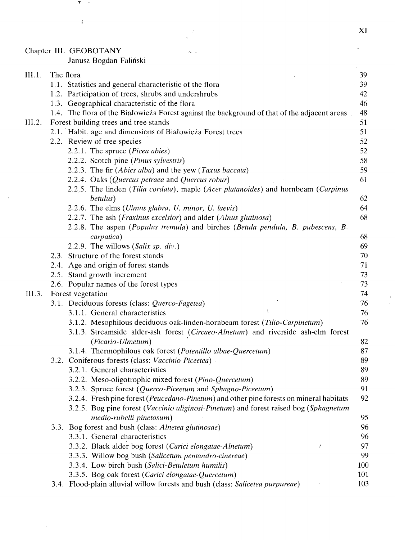Chapter III. GEOBOTANY

 $\ddot{\phantom{a}}$ 

 $\hat{\mathcal{A}}$ 

Υ.  $\sim$ 

 $\hat{g}$ 

Janusz Bogdan Falinski

| III.1. | The flora                                                                                    | 39  |
|--------|----------------------------------------------------------------------------------------------|-----|
|        | 1.1. Statistics and general characteristic of the flora                                      | 39  |
|        | 1.2. Participation of trees, shrubs and undershrubs                                          | 42  |
|        | 1.3. Geographical characteristic of the flora                                                | 46  |
|        | 1.4. The flora of the Białowieża Forest against the background of that of the adjacent areas | 48  |
| III.2. | Forest building trees and tree stands                                                        | 51  |
|        | 2.1. Habit, age and dimensions of Białowieża Forest trees                                    | 51  |
|        | 2.2. Review of tree species                                                                  | 52  |
|        | 2.2.1. The spruce (Picea abies)                                                              | 52  |
|        | 2.2.2. Scotch pine (Pinus sylvestris)                                                        | 58  |
|        | 2.2.3. The fir (Abies alba) and the yew (Taxus baccata)                                      | 59  |
|        | 2.2.4. Oaks (Quercus petraea and Quercus robur)                                              | 61  |
|        | 2.2.5. The linden (Tilia cordata), maple (Acer platanoides) and hornbeam (Carpinus           |     |
|        | betulus)                                                                                     | 62  |
|        | 2.2.6. The elms (Ulmus glabra, U. minor, U. laevis)                                          | 64  |
|        | 2.2.7. The ash (Fraxinus excelsior) and alder (Alnus glutinosa)                              | 68  |
|        | 2.2.8. The aspen (Populus tremula) and birches (Betula pendula, B. pubescens, B.             |     |
|        | carpatica)                                                                                   | 68  |
|        | 2.2.9. The willows (Salix sp. div.)                                                          | 69  |
|        | 2.3. Structure of the forest stands                                                          | 70  |
|        | 2.4. Age and origin of forest stands                                                         | 71  |
|        | 2.5. Stand growth increment                                                                  | 73  |
|        | 2.6. Popular names of the forest types                                                       | 73  |
| III.3. | Forest vegetation                                                                            | 74  |
|        | 3.1. Deciduous forests (class: Querco-Fagetea)                                               | 76  |
|        | 3.1.1. General characteristics                                                               | 76  |
|        | 3.1.2. Mesophilous deciduous oak-linden-hornbeam forest (Tilio-Carpinetum)                   | 76  |
|        | 3.1.3. Streamside alder-ash forest (Circaeo-Alnetum) and riverside ash-elm forest            |     |
|        | (Ficario-Ulmetum)                                                                            | 82  |
|        | 3.1.4. Thermophilous oak forest (Potentillo albae-Quercetum)                                 | 87  |
|        | 3.2. Coniferous forests (class: Vaccinio Piceetea)                                           | 89  |
|        | 3.2.1. General characteristics                                                               | 89  |
|        | 3.2.2. Meso-oligotrophic mixed forest (Pino-Quercetum)                                       | 89  |
|        | 3.2.3. Spruce forest (Querco-Piceetum and Sphagno-Piceetum)                                  | 91  |
|        | 3.2.4. Fresh pine forest (Peucedano-Pinetum) and other pine forests on mineral habitats      | 92  |
|        | 3.2.5. Bog pine forest (Vaccinio uliginosi-Pinetum) and forest raised bog (Sphagnetum        |     |
|        | medio-rubelli pinetosum)                                                                     | 95  |
|        | 3.3. Bog forest and bush (class: Alnetea glutinosae)                                         | 96  |
|        | 3.3.1. General characteristics                                                               | 96  |
|        | 3.3.2. Black alder bog forest (Carici elongatae-Alnetum)                                     | 97  |
|        | 3.3.3. Willow bog bush (Salicetum pentandro-cinereae)                                        | 99  |
|        | 3.3.4. Low birch bush (Salici-Betuletum humilis)                                             | 100 |
|        | 3.3.5. Bog oak forest (Carici elongatae-Quercetum)                                           | 101 |
|        | 3.4. Flood-plain alluvial willow forests and bush (class: Salicetea purpureae)               | 103 |
|        |                                                                                              |     |

 $\hat{\rho}_{\rm{max}}$ 

 $\frac{1}{2}$ 

 $\mathcal{N}_\mu$ 

 $\overline{a}$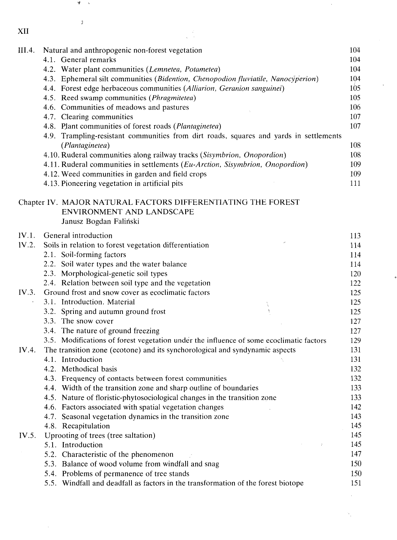| ۰.<br>۰. |
|----------|

 $\mathcal{A}^{(1)}$ 

 $\mathcal{T}=\mathcal{S}$ 

 $\int$ 

| XII    |                                                                                                           |     |
|--------|-----------------------------------------------------------------------------------------------------------|-----|
| III.4. | Natural and anthropogenic non-forest vegetation                                                           | 104 |
|        | 4.1. General remarks                                                                                      | 104 |
|        | 4.2. Water plant communities (Lemnetea, Potametea)                                                        | 104 |
|        | 4.3. Ephemeral silt communities (Bidention, Chenopodion fluviatile, Nanocyperion)                         | 104 |
|        | 4.4. Forest edge herbaceous communities (Alliarion, Geranion sanguinei)                                   | 105 |
|        | 4.5. Reed swamp communities (Phragmitetea)                                                                | 105 |
|        | 4.6. Communities of meadows and pastures                                                                  | 106 |
|        | 4.7. Clearing communities                                                                                 | 107 |
|        | 4.8. Plant communities of forest roads (Plantaginetea)                                                    | 107 |
|        | 4.9. Trampling-resistant communities from dirt roads, squares and yards in settlements<br>(Plantaginetea) | 108 |
|        | 4.10. Ruderal communities along railway tracks (Sisymbrion, Onopordion)                                   | 108 |
|        | 4.11. Ruderal communities in settlements (Eu-Arction, Sisymbrion, Onopordion)                             | 109 |
|        | 4.12. Weed communities in garden and field crops                                                          | 109 |
|        | 4.13. Pioneering vegetation in artificial pits                                                            | 111 |
|        |                                                                                                           |     |
|        | Chapter IV. MAJOR NATURAL FACTORS DIFFERENTIATING THE FOREST                                              |     |
|        | ENVIRONMENT AND LANDSCAPE                                                                                 |     |
|        | Janusz Bogdan Faliński                                                                                    |     |
| IV.1.  | General introduction                                                                                      | 113 |
| IV.2.  | Soils in relation to forest vegetation differentiation                                                    | 114 |
|        | 2.1. Soil-forming factors                                                                                 | 114 |
|        | 2.2. Soil water types and the water balance                                                               | 114 |
|        | 2.3. Morphological-genetic soil types                                                                     | 120 |
|        | 2.4. Relation between soil type and the vegetation                                                        | 122 |
| IV.3.  | Ground frost and snow cover as ecoclimatic factors                                                        | 125 |
|        | 3.1. Introduction. Material<br>À                                                                          | 125 |
|        | 3.2. Spring and autumn ground frost                                                                       | 125 |
|        | 3.3. The snow cover                                                                                       | 127 |
|        | 3.4. The nature of ground freezing                                                                        | 127 |
|        | 3.5. Modifications of forest vegetation under the influence of some ecoclimatic factors                   | 129 |
| IV.4.  | The transition zone (ecotone) and its synchorological and syndynamic aspects                              | 131 |
|        | 4.1. Introduction<br>N                                                                                    | 131 |
|        | 4.2. Methodical basis                                                                                     | 132 |
|        | 4.3. Frequency of contacts between forest communities                                                     | 132 |
|        | 4.4. Width of the transition zone and sharp outline of boundaries                                         | 133 |
|        | 4.5. Nature of floristic-phytosociological changes in the transition zone                                 | 133 |
|        | 4.6. Factors associated with spatial vegetation changes                                                   | 142 |
|        | 4.7. Seasonal vegetation dynamics in the transition zone                                                  | 143 |
|        | 4.8. Recapitulation                                                                                       | 145 |
| IV.5.  | Uprooting of trees (tree saltation)                                                                       | 145 |
|        | 5.1. Introduction                                                                                         | 145 |
|        | 5.2. Characteristic of the phenomenon                                                                     | 147 |
|        | 5.3. Balance of wood volume from windfall and snag                                                        | 150 |
|        | 5.4. Problems of permanence of tree stands                                                                | 150 |
|        | 5.5. Windfall and deadfall as factors in the transformation of the forest biotope                         | 151 |
|        |                                                                                                           |     |

 $\mathcal{L}^{\text{max}}_{\text{max}}$  ,  $\mathcal{L}^{\text{max}}_{\text{max}}$ 

 $\label{eq:2} \frac{1}{2} \int_{\mathbb{R}^3} \frac{1}{\sqrt{2}} \, \mathrm{d} \xi \, \mathrm{d} \xi$ 

 $\mathbf{S}_{\mathbf{p},\mathbf{q}}$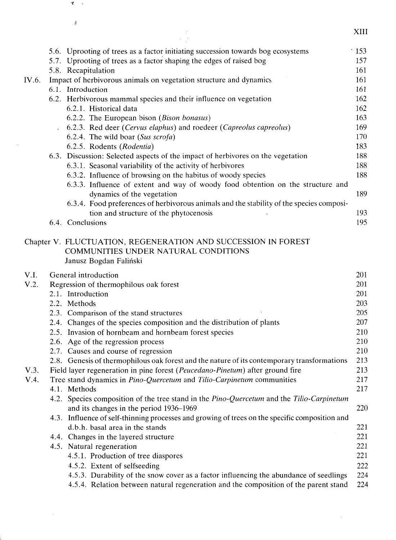|       |                                                                                                                                                 | XIII        |
|-------|-------------------------------------------------------------------------------------------------------------------------------------------------|-------------|
|       | 5.6. Uprooting of trees as a factor initiating succession towards bog ecosystems                                                                | $\cdot$ 153 |
|       | 5.7. Uprooting of trees as a factor shaping the edges of raised bog                                                                             | 157         |
|       | 5.8. Recapitulation                                                                                                                             | 161         |
| IV.6. | Impact of herbivorous animals on vegetation structure and dynamics                                                                              | 161         |
|       | 6.1. Introduction                                                                                                                               | 161         |
|       | 6.2. Herbivorous mammal species and their influence on vegetation                                                                               | 162         |
|       | 6.2.1. Historical data                                                                                                                          | 162         |
|       | 6.2.2. The European bison (Bison bonasus)                                                                                                       | 163         |
|       | 6.2.3. Red deer (Cervus elaphus) and roedeer (Capreolus capreolus)                                                                              | 169         |
|       | 6.2.4. The wild boar (Sus scrofa)                                                                                                               | 170         |
|       | 6.2.5. Rodents (Rodentia)                                                                                                                       | 183         |
|       | 6.3. Discussion: Selected aspects of the impact of herbivores on the vegetation                                                                 | 188         |
|       | 6.3.1. Seasonal variability of the activity of herbivores                                                                                       | 188         |
|       | 6.3.2. Influence of browsing on the habitus of woody species<br>6.3.3. Influence of extent and way of woody food obtention on the structure and | 188         |
|       | dynamics of the vegetation                                                                                                                      | 189         |
|       | 6.3.4. Food preferences of herbivorous animals and the stability of the species composi-                                                        |             |
|       | tion and structure of the phytocenosis                                                                                                          | 193         |
|       | 6.4. Conclusions                                                                                                                                | 195         |
|       |                                                                                                                                                 |             |
|       | Chapter V. FLUCTUATION, REGENERATION AND SUCCESSION IN FOREST<br>COMMUNITIES UNDER NATURAL CONDITIONS                                           |             |
|       | Janusz Bogdan Faliński                                                                                                                          |             |
| V.I.  | General introduction                                                                                                                            | 201         |
| V.2.  | Regression of thermophilous oak forest                                                                                                          | 201         |
|       | 2.1. Introduction                                                                                                                               | 201         |
|       | 2.2. Methods                                                                                                                                    | 203         |
|       | 2.3. Comparison of the stand structures                                                                                                         | 205         |
|       | 2.4. Changes of the species composition and the distribution of plants                                                                          | 207         |
|       | 2.5. Invasion of hornbeam and hornbeam forest species                                                                                           | 210<br>210  |
|       | 2.6. Age of the regression process<br>2.7. Causes and course of regression                                                                      | 210         |
|       | 2.8. Genesis of thermophilous oak forest and the nature of its contemporary transformations                                                     | 213         |
| V.3.  | Field layer regeneration in pine forest (Peucedano-Pinetum) after ground fire                                                                   | 213         |
| V.4.  | Tree stand dynamics in Pino-Quercetum and Tilio-Carpinetum communities                                                                          | 217         |
|       | 4.1 Methods                                                                                                                                     | 217         |
|       | 4.2. Species composition of the tree stand in the Pino-Quercetum and the Tilio-Carpinetum                                                       |             |
|       | and its changes in the period 1936–1969                                                                                                         | 220         |
|       | 4.3. Influence of self-thinning processes and growing of trees on the specific composition and                                                  |             |
|       | d.b.h. basal area in the stands                                                                                                                 | 221         |
|       | 4.4. Changes in the layered structure                                                                                                           | 221         |
|       | 4.5. Natural regeneration                                                                                                                       | 221         |
|       | 4.5.1. Production of tree diaspores                                                                                                             | 221         |
|       | 4.5.2. Extent of selfseeding                                                                                                                    | 222         |
|       | 4.5.3. Durability of the snow cover as a factor influencing the abundance of seedlings                                                          | 224         |
|       | 4.5.4. Relation between natural regeneration and the composition of the parent stand                                                            | 224         |
|       |                                                                                                                                                 |             |

 $\pmb{\tau}$  $\sim$ 

 $\bar{\theta}$ 

 $\sim 10^{-10}$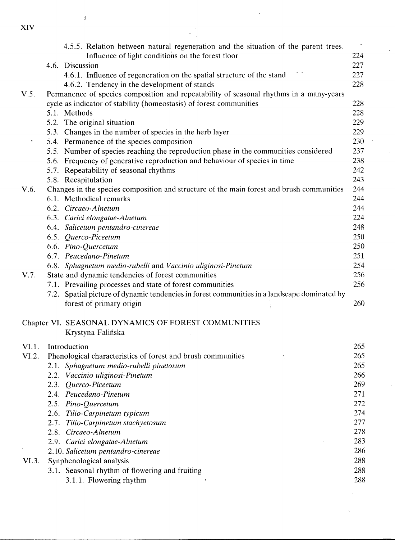|       | 4.5.5. Relation between natural regeneration and the situation of the parent trees.          |     |
|-------|----------------------------------------------------------------------------------------------|-----|
|       | Influence of light conditions on the forest floor                                            | 224 |
|       | 4.6. Discussion                                                                              | 227 |
|       | 4.6.1. Influence of regeneration on the spatial structure of the stand                       | 227 |
|       | 4.6.2. Tendency in the development of stands                                                 | 228 |
| V.5.  | Permanence of species composition and repeatability of seasonal rhythms in a many-years      |     |
|       | cycle as indicator of stability (homeostasis) of forest communities                          | 228 |
|       | 5.1. Methods                                                                                 | 228 |
|       | 5.2. The original situation                                                                  | 229 |
|       | 5.3. Changes in the number of species in the herb layer                                      | 229 |
| ٠     | 5.4. Permanence of the species composition                                                   | 230 |
|       | 5.5. Number of species reaching the reproduction phase in the communities considered         | 237 |
|       | 5.6. Frequency of generative reproduction and behaviour of species in time                   | 238 |
|       | 5.7. Repeatability of seasonal rhythms                                                       | 242 |
|       | 5.8. Recapitulation                                                                          | 243 |
| V.6.  | Changes in the species composition and structure of the main forest and brush communities    | 244 |
|       | 6.1. Methodical remarks                                                                      | 244 |
|       | 6.2. Circaeo-Alnetum                                                                         | 244 |
|       | 6.3. Carici elongatae-Alnetum                                                                | 224 |
|       | 6.4. Salicetum pentandro-cinereae                                                            | 248 |
|       | 6.5. Querco-Piceetum                                                                         | 250 |
|       | 6.6. Pino-Quercetum                                                                          | 250 |
|       | 6.7. Peucedano-Pinetum                                                                       | 251 |
|       | 6.8. Sphagnetum medio-rubelli and Vaccinio uliginosi-Pinetum                                 | 254 |
| V.7.  | State and dynamic tendencies of forest communities                                           | 256 |
|       | 7.1. Prevailing processes and state of forest communities                                    | 256 |
|       | 7.2. Spatial picture of dynamic tendencies in forest communities in a landscape dominated by |     |
|       | forest of primary origin                                                                     | 260 |
|       | Chapter VI. SEASONAL DYNAMICS OF FOREST COMMUNITIES                                          |     |
|       | Krystyna Falińska                                                                            |     |
| VI.1. | Introduction                                                                                 | 265 |
| VI.2. | Phenological characteristics of forest and brush communities                                 | 265 |
|       | 2.1. Sphagnetum medio-rubelli pinetosum                                                      | 265 |
|       | 2.2. Vaccinio uliginosi-Pinetum                                                              | 266 |
|       | 2.3. Querco-Piceetum                                                                         | 269 |
|       | 2.4. Peucedano-Pinetum                                                                       | 271 |
|       | 2.5. Pino-Quercetum                                                                          | 272 |
|       | 2.6. Tilio-Carpinetum typicum                                                                | 274 |
|       | 2.7. Tilio-Carpinetum stachyetosum                                                           | 277 |
|       | 2.8. Circaeo-Alnetum                                                                         | 278 |
|       | 2.9. Carici elongatae-Alnetum                                                                | 283 |
|       | 2.10. Salicetum pentandro-cinereae                                                           | 286 |
| VI.3. | Synphenological analysis                                                                     | 288 |
|       | 3.1. Seasonal rhythm of flowering and fruiting                                               | 288 |
|       | 3.1.1. Flowering rhythm                                                                      | 288 |
|       |                                                                                              |     |

 $\frac{1}{2}$ 

XIV

 $\bar{y}$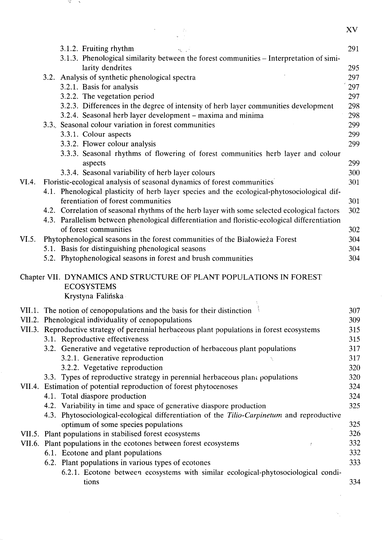XV  $3.1.2.$  Fruiting rhythm  $291$ 3.1.3. Phenological similarity between the forest communities - Interpretation of similarity dendrites 295 3.2. Analysis of synthetic phenological spectra 297 3.2.1. Basis for analysis '297 3.2.2. The vegetation period 297 3.2.3. Differences in the degree of intensity of herb layer communities development 298 3.2.4. Seasonal herb layer development - maxima and minima 298 3.3., Seasonal colour variation in forest communities 299 3.3.1. Colour aspects 299 3.3.2. Flower colour analysis 299 3.3.3. Seasonal rhythms of flowering of forest communities herb layer and colour aspects 299 3.3.4. Seasonal variability of herb layer colours 300 VI.4. Floristic-ecological analysis of seasonal dynamics of forest communities 301 4.1. Phenological plasticity of herb layer species and the ecological-phytosociological differentiation of forest communities 301 4.2. Correlation of seasonal rhythms of the herb layer with some selected ecological factors 302 4.3. Parallelism between phenological differentiation and floristic-ecological differentiation of forest communities 302 VI.5. Phytophenological seasons in the forest communities of the Bialowieza Forest 304 5.1. Basis for distinguishing phenological seasons 304 5.2. Phytophenological seasons in forest and brush communities 304 Chapter VII. DYNAMICS AND STRUCTURE OF PLANT POPULATIONS IN FOREST ECOSYSTEMS Krystyna Falińska VII.1. The notion of cenopopulations and the basis for their distinction  $\frac{307}{307}$ VII.2. Phenological individuality of cenopopulations 309

VII.3. Reproductive strategy of perennial herbaceous plant populations in forest ecosystems 315 3.1. Reproductive effectiveness 315 3.2. Generative and vegetative reproduction of herbaceous plant populations 317 3.2.1. Generative reproduction 317 3.2.2. Vegetative reproduction 320 3.3. Types of reproductive strategy in perennial herbaceous plant populations 320 VII.4. Estimation of potential reproduction of forest phytocenoses 324 4.1. Total diaspore production 324 4.2. Variability in time and space of generative diaspore production 325 4.3. Phytosociological-ecological differentiation of the *Tilio-Carpinetum* and reproductive optimum of some species populations 325 VII.5. Plant populations in stabilised forest ecosystems 326 VII.6. Plant populations in the ecotones between forest ecosystems **•** 332 6.1. Ecotone and plant populations 332 6.2. Plant populations in various types of ecotones 333 6.2.1. Ecotone between ecosystems with similar ecological-phytosociological conditions 334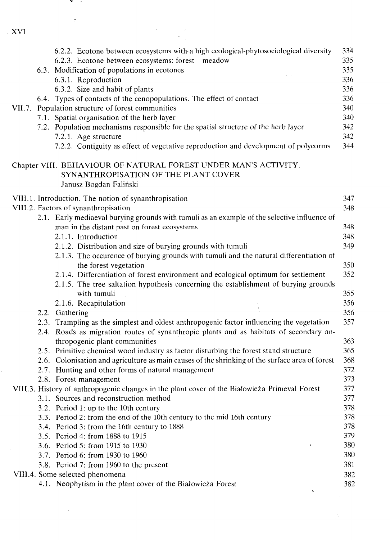**T** 5

 $\frac{1}{3}$ 

|  | 6.2.2. Ecotone between ecosystems with a high ecological-phytosociological diversity                                                                                       | 334 |
|--|----------------------------------------------------------------------------------------------------------------------------------------------------------------------------|-----|
|  | 6.2.3. Ecotone between ecosystems: forest – meadow                                                                                                                         | 335 |
|  | 6.3. Modification of populations in ecotones                                                                                                                               | 335 |
|  | 6.3.1. Reproduction                                                                                                                                                        | 336 |
|  | 6.3.2. Size and habit of plants                                                                                                                                            | 336 |
|  | 6.4. Types of contacts of the cenopopulations. The effect of contact                                                                                                       | 336 |
|  | VII.7. Population structure of forest communities                                                                                                                          | 340 |
|  | 7.1. Spatial organisation of the herb layer                                                                                                                                | 340 |
|  | 7.2. Population mechanisms responsible for the spatial structure of the herb layer                                                                                         | 342 |
|  | 7.2.1. Age structure                                                                                                                                                       | 342 |
|  | 7.2.2. Contiguity as effect of vegetative reproduction and development of polycorms                                                                                        | 344 |
|  | Chapter VIII. BEHAVIOUR OF NATURAL FOREST UNDER MAN'S ACTIVITY.                                                                                                            |     |
|  | SYNANTHROPISATION OF THE PLANT COVER                                                                                                                                       |     |
|  | Janusz Bogdan Faliński                                                                                                                                                     |     |
|  | VIII.1. Introduction. The notion of synanthropisation                                                                                                                      | 347 |
|  | VIII.2. Factors of synanthropisation                                                                                                                                       | 348 |
|  | 2.1. Early mediaeval burying grounds with tumuli as an example of the selective influence of                                                                               |     |
|  | man in the distant past on forest ecosystems                                                                                                                               | 348 |
|  | 2.1.1. Introduction                                                                                                                                                        | 348 |
|  | 2.1.2. Distribution and size of burying grounds with tumuli                                                                                                                | 349 |
|  | 2.1.3. The occurence of burying grounds with tumuli and the natural differentiation of                                                                                     |     |
|  | the forest vegetation                                                                                                                                                      | 350 |
|  | 2.1.4. Differentiation of forest environment and ecological optimum for settlement<br>2.1.5. The tree saltation hypothesis concerning the establishment of burying grounds | 352 |
|  | with tumuli                                                                                                                                                                | 355 |
|  | 2.1.6. Recapitulation                                                                                                                                                      | 356 |
|  | 2.2. Gathering                                                                                                                                                             | 356 |
|  | 2.3. Trampling as the simplest and oldest anthropogenic factor influencing the vegetation                                                                                  | 357 |
|  | 2.4. Roads as migration routes of synanthropic plants and as habitats of secondary an-                                                                                     |     |
|  | thropogenic plant communities                                                                                                                                              | 363 |
|  | 2.5. Primitive chemical wood industry as factor disturbing the forest stand structure                                                                                      | 365 |
|  | 2.6. Colonisation and agriculture as main causes of the shrinking of the surface area of forest                                                                            | 368 |
|  | 2.7. Hunting and other forms of natural management                                                                                                                         | 372 |
|  | 2.8. Forest management                                                                                                                                                     | 373 |
|  | VIII.3. History of anthropogenic changes in the plant cover of the Białowieża Primeval Forest                                                                              | 377 |
|  | 3.1. Sources and reconstruction method                                                                                                                                     | 377 |
|  | 3.2. Period 1: up to the 10th century                                                                                                                                      | 378 |
|  | 3.3. Period 2: from the end of the 10th century to the mid 16th century                                                                                                    | 378 |
|  | 3.4. Period 3: from the 16th century to 1888                                                                                                                               | 378 |
|  | 3.5. Period 4: from 1888 to 1915<br>$\boldsymbol{I}$                                                                                                                       | 379 |
|  | 3.6. Period 5: from 1915 to 1930                                                                                                                                           | 380 |
|  | 3.7. Period 6: from 1930 to 1960                                                                                                                                           | 380 |
|  | 3.8. Period 7: from 1960 to the present                                                                                                                                    | 381 |
|  | VIII.4. Some selected phenomena                                                                                                                                            | 382 |
|  | 4.1. Neophytism in the plant cover of the Białowieża Forest                                                                                                                | 382 |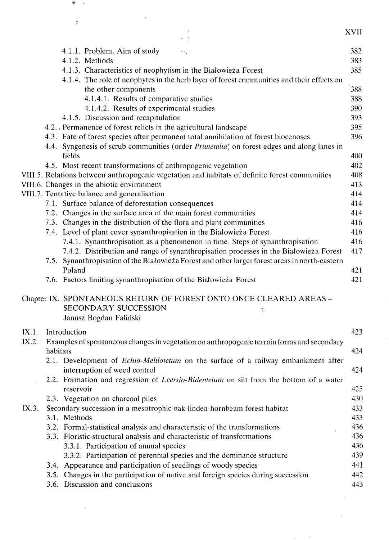|       |          | Ĵ                                                                                                                    | XVII |
|-------|----------|----------------------------------------------------------------------------------------------------------------------|------|
|       |          |                                                                                                                      |      |
|       |          | 4.1.1. Problem. Aim of study<br>ns.                                                                                  | 382  |
|       |          | 4.1.2. Methods                                                                                                       | 383  |
|       |          | 4.1.3. Characteristics of neophytism in the Białowieża Forest                                                        | 385  |
|       |          | 4.1.4. The role of neophytes in the herb layer of forest communities and their effects on                            |      |
|       |          | the other components                                                                                                 | 388  |
|       |          | 4.1.4.1. Results of comparative studies                                                                              | 388  |
|       |          | 4.1.4.2. Results of experimental studies                                                                             | 390  |
|       |          | 4.1.5. Discussion and recapitulation                                                                                 | 393  |
|       |          | 4.2. Permanence of forest relicts in the agricultural landscape                                                      | 395  |
|       |          | 4.3. Fate of forest species after permanent total annihilation of forest biocenoses                                  | 396  |
|       |          | 4.4. Syngenesis of scrub communities (order <i>Prunetalia</i> ) on forest edges and along lanes in                   |      |
|       |          | fields                                                                                                               | 400  |
|       |          | 4.5. Most recent transformations of anthropogenic vegetation                                                         | 402  |
|       |          | VIII.5. Relations between anthropogenic vegetation and habitats of definite forest communities                       | 408  |
|       |          | VIII.6. Changes in the abiotic environment                                                                           | 413  |
|       |          | VIII.7. Tentative balance and generalisation                                                                         | 414  |
|       |          | 7.1. Surface balance of deforestation consequences                                                                   | 414  |
|       |          | 7.2. Changes in the surface area of the main forest communities                                                      | 414  |
|       |          | 7.3. Changes in the distribution of the flora and plant communities                                                  | 416  |
|       |          | 7.4. Level of plant cover synanthropisation in the Białowieża Forest                                                 | 416  |
|       |          | 7.4.1. Synanthropisation as a phenomenon in time. Steps of synanthropisation                                         | 416  |
|       |          | 7.4.2. Distribution and range of synanthropisation processes in the Białowieża Forest                                | 417  |
|       |          | 7.5. Synanthropisation of the Białowieża Forest and other larger forest areas in north-eastern                       |      |
|       |          | Poland                                                                                                               | 421  |
|       |          | 7.6. Factors limiting synanthropisation of the Białowieża Forest                                                     | 421  |
|       |          | Chapter IX. SPONTANEOUS RETURN OF FOREST ONTO ONCE CLEARED AREAS -<br>SECONDARY SUCCESSION<br>Janusz Bogdan Faliński |      |
|       |          |                                                                                                                      |      |
| IX.1. |          | Introduction                                                                                                         | 423  |
| IX.2. | habitats | Examples of spontaneous changes in vegetation on anthropogenic terrain forms and secondary                           | 424  |
|       |          | 2.1. Development of <i>Echio-Melilotetum</i> on the surface of a railway embankment after                            |      |
|       |          | interruption of weed control                                                                                         | 424  |
|       |          | 2.2. Formation and regression of Leersio-Bidentetum on silt from the bottom of a water                               |      |
|       |          | reservoir                                                                                                            | 425  |
|       |          | 2.3. Vegetation on charcoal piles                                                                                    | 430  |
| IX.3. |          | Secondary succession in a mesotrophic oak-linden-hornbeam forest habitat                                             | 433  |
|       |          | 3.1. Methods                                                                                                         | 433  |
|       |          | 3.2. Formal-statistical analysis and characteristic of the transformations                                           | 436  |
|       |          | 3.3. Floristic-structural analysis and characteristic of transformations                                             | 436  |
|       |          | 3.3.1. Participation of annual species                                                                               | 436  |
|       |          | 3.3.2. Participation of perennial species and the dominance structure                                                | 439  |
|       |          | 3.4. Appearance and participation of seedlings of woody species                                                      | 441  |
|       |          | 3.5. Changes in the participation of native and foreign species during succession                                    | 442  |
|       |          | 3.6. Discussion and conclusions                                                                                      | 443  |
|       |          |                                                                                                                      |      |

 $\mathcal{R}$  $\sim$ 

 $\mathcal{A}^{(1)}$ 

 $N_{\rm{BH}}$ 

 $\sim 10^{-10}$